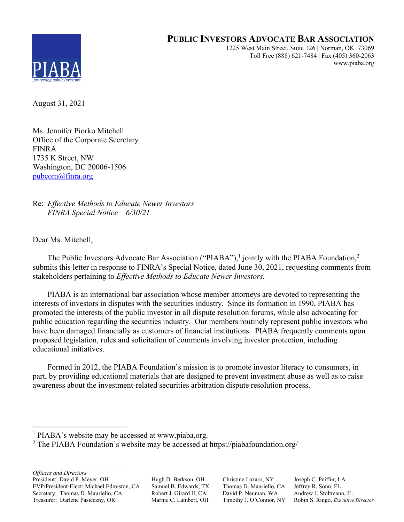# **PUBLIC INVESTORS ADVOCATE BAR ASSOCIATION**



1225 West Main Street, Suite 126 | Norman, OK 73069 Toll Free (888) 621-7484 | Fax (405) 360-2063 www.piaba.org

August 31, 2021

Ms. Jennifer Piorko Mitchell Office of the Corporate Secretary FINRA 1735 K Street, NW Washington, DC 20006-1506 pubcom@finra.org

Re: *Effective Methods to Educate Newer Investors FINRA Special Notice – 6/30/21* 

Dear Ms. Mitchell,

The Public Investors Advocate Bar Association ("PIABA"),<sup>1</sup> jointly with the PIABA Foundation,<sup>2</sup> submits this letter in response to FINRA's Special Notice, dated June 30, 2021, requesting comments from stakeholders pertaining to *Effective Methods to Educate Newer Investors.* 

 PIABA is an international bar association whose member attorneys are devoted to representing the interests of investors in disputes with the securities industry. Since its formation in 1990, PIABA has promoted the interests of the public investor in all dispute resolution forums, while also advocating for public education regarding the securities industry. Our members routinely represent public investors who have been damaged financially as customers of financial institutions. PIABA frequently comments upon proposed legislation, rules and solicitation of comments involving investor protection, including educational initiatives.

 Formed in 2012, the PIABA Foundation's mission is to promote investor literacy to consumers, in part, by providing educational materials that are designed to prevent investment abuse as well as to raise awareness about the investment-related securities arbitration dispute resolution process.

*Officers and Directors*

President: David P. Meyer, OH Hugh D. Berkson, OH Christine Lazaro, NY Joseph C. Peiffer, LA EVP/President-Elect: Michael Edmiston, CA Samuel B. Edwards, TX Thomas D. Mauriello, CA Jeffrey R. Sonn, FL Secretary: Thomas D. Mauriello, CA Robert J. Girard II, CA David P. Neuman, WA Andrew J. Stoltmann, IL<br>Treasurer: Darlene Pasieczny, OR Marnie C. Lambert, OH Timothy J. O'Connor, NY Robin S. Ringo, Executive Treasurer: Darlene Pasieczny, OR Marnie C. Lambert, OH Timothy J. O'Connor, NY Robin S. Ringo, *Executive Director*

 <sup>1</sup> PIABA's website may be accessed at www.piaba.org.

<sup>&</sup>lt;sup>2</sup> The PIABA Foundation's website may be accessed at https://piabafoundation.org/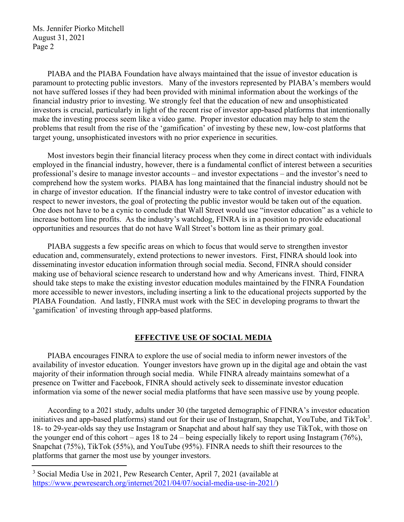PIABA and the PIABA Foundation have always maintained that the issue of investor education is paramount to protecting public investors. Many of the investors represented by PIABA's members would not have suffered losses if they had been provided with minimal information about the workings of the financial industry prior to investing. We strongly feel that the education of new and unsophisticated investors is crucial, particularly in light of the recent rise of investor app-based platforms that intentionally make the investing process seem like a video game. Proper investor education may help to stem the problems that result from the rise of the 'gamification' of investing by these new, low-cost platforms that target young, unsophisticated investors with no prior experience in securities.

Most investors begin their financial literacy process when they come in direct contact with individuals employed in the financial industry, however, there is a fundamental conflict of interest between a securities professional's desire to manage investor accounts – and investor expectations – and the investor's need to comprehend how the system works. PIABA has long maintained that the financial industry should not be in charge of investor education. If the financial industry were to take control of investor education with respect to newer investors, the goal of protecting the public investor would be taken out of the equation. One does not have to be a cynic to conclude that Wall Street would use "investor education" as a vehicle to increase bottom line profits. As the industry's watchdog, FINRA is in a position to provide educational opportunities and resources that do not have Wall Street's bottom line as their primary goal.

 PIABA suggests a few specific areas on which to focus that would serve to strengthen investor education and, commensurately, extend protections to newer investors. First, FINRA should look into disseminating investor education information through social media. Second, FINRA should consider making use of behavioral science research to understand how and why Americans invest. Third, FINRA should take steps to make the existing investor education modules maintained by the FINRA Foundation more accessible to newer investors, including inserting a link to the educational projects supported by the PIABA Foundation. And lastly, FINRA must work with the SEC in developing programs to thwart the 'gamification' of investing through app-based platforms.

#### **EFFECTIVE USE OF SOCIAL MEDIA**

 PIABA encourages FINRA to explore the use of social media to inform newer investors of the availability of investor education. Younger investors have grown up in the digital age and obtain the vast majority of their information through social media. While FINRA already maintains somewhat of a presence on Twitter and Facebook, FINRA should actively seek to disseminate investor education information via some of the newer social media platforms that have seen massive use by young people.

According to a 2021 study, adults under 30 (the targeted demographic of FINRA's investor education initiatives and app-based platforms) stand out for their use of Instagram, Snapchat, YouTube, and TikTok<sup>3</sup>. 18- to 29-year-olds say they use Instagram or Snapchat and about half say they use TikTok, with those on the younger end of this cohort – ages 18 to 24 – being especially likely to report using Instagram (76%), Snapchat (75%), TikTok (55%), and YouTube (95%). FINRA needs to shift their resources to the platforms that garner the most use by younger investors.

 <sup>3</sup> Social Media Use in 2021, Pew Research Center, April 7, 2021 (available at https://www.pewresearch.org/internet/2021/04/07/social-media-use-in-2021/)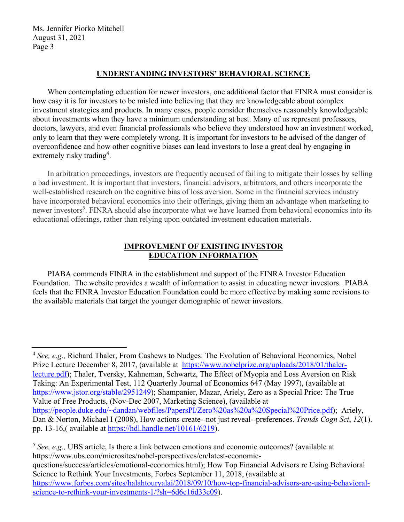### **UNDERSTANDING INVESTORS' BEHAVIORAL SCIENCE**

When contemplating education for newer investors, one additional factor that FINRA must consider is how easy it is for investors to be misled into believing that they are knowledgeable about complex investment strategies and products. In many cases, people consider themselves reasonably knowledgeable about investments when they have a minimum understanding at best. Many of us represent professors, doctors, lawyers, and even financial professionals who believe they understood how an investment worked, only to learn that they were completely wrong. It is important for investors to be advised of the danger of overconfidence and how other cognitive biases can lead investors to lose a great deal by engaging in extremely risky trading<sup>4</sup>.

 In arbitration proceedings, investors are frequently accused of failing to mitigate their losses by selling a bad investment. It is important that investors, financial advisors, arbitrators, and others incorporate the well-established research on the cognitive bias of loss aversion. Some in the financial services industry have incorporated behavioral economics into their offerings, giving them an advantage when marketing to newer investors<sup>5</sup>. FINRA should also incorporate what we have learned from behavioral economics into its educational offerings, rather than relying upon outdated investment education materials.

## **IMPROVEMENT OF EXISTING INVESTOR EDUCATION INFORMATION**

 PIABA commends FINRA in the establishment and support of the FINRA Investor Education Foundation. The website provides a wealth of information to assist in educating newer investors. PIABA feels that the FINRA Investor Education Foundation could be more effective by making some revisions to the available materials that target the younger demographic of newer investors.

<sup>5</sup> *See, e.g.,* UBS article, Is there a link between emotions and economic outcomes? (available at https://www.ubs.com/microsites/nobel-perspectives/en/latest-economicquestions/success/articles/emotional-economics.html); How Top Financial Advisors re Using Behavioral Science to Rethink Your Investments, Forbes September 11, 2018, (available at https://www.forbes.com/sites/halahtouryalai/2018/09/10/how-top-financial-advisors-are-using-behavioralscience-to-rethink-your-investments-1/?sh=6d6c16d33c09).

 <sup>4</sup> *See, e.g.,* Richard Thaler, From Cashews to Nudges: The Evolution of Behavioral Economics, Nobel Prize Lecture December 8, 2017, (available at https://www.nobelprize.org/uploads/2018/01/thalerlecture.pdf); Thaler, Tversky, Kahneman, Schwartz, The Effect of Myopia and Loss Aversion on Risk Taking: An Experimental Test, 112 Quarterly Journal of Economics 647 (May 1997), (available at https://www.jstor.org/stable/2951249); Shampanier, Mazar, Ariely, Zero as a Special Price: The True Value of Free Products, (Nov-Dec 2007, Marketing Science), (available at https://people.duke.edu/~dandan/webfiles/PapersPI/Zero%20as%20a%20Special%20Price.pdf); Ariely, Dan & Norton, Michael I (2008), How actions create--not just reveal--preferences. *Trends Cogn Sci*, *12*(1). pp. 13-16,( available at https://hdl.handle.net/10161/6219).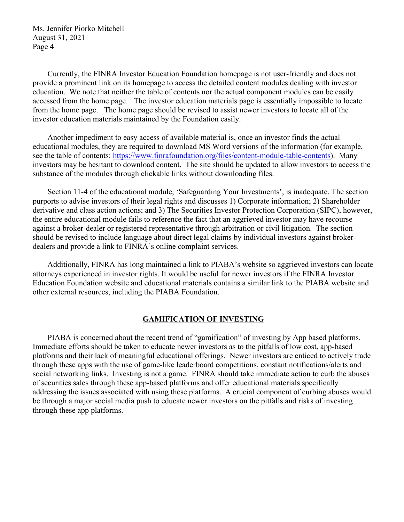Currently, the FINRA Investor Education Foundation homepage is not user-friendly and does not provide a prominent link on its homepage to access the detailed content modules dealing with investor education. We note that neither the table of contents nor the actual component modules can be easily accessed from the home page. The investor education materials page is essentially impossible to locate from the home page. The home page should be revised to assist newer investors to locate all of the investor education materials maintained by the Foundation easily.

 Another impediment to easy access of available material is, once an investor finds the actual educational modules, they are required to download MS Word versions of the information (for example, see the table of contents: https://www.finrafoundation.org/files/content-module-table-contents). Many investors may be hesitant to download content. The site should be updated to allow investors to access the substance of the modules through clickable links without downloading files.

 Section 11-4 of the educational module, 'Safeguarding Your Investments', is inadequate. The section purports to advise investors of their legal rights and discusses 1) Corporate information; 2) Shareholder derivative and class action actions; and 3) The Securities Investor Protection Corporation (SIPC), however, the entire educational module fails to reference the fact that an aggrieved investor may have recourse against a broker-dealer or registered representative through arbitration or civil litigation. The section should be revised to include language about direct legal claims by individual investors against brokerdealers and provide a link to FINRA's online complaint services.

 Additionally, FINRA has long maintained a link to PIABA's website so aggrieved investors can locate attorneys experienced in investor rights. It would be useful for newer investors if the FINRA Investor Education Foundation website and educational materials contains a similar link to the PIABA website and other external resources, including the PIABA Foundation.

#### **GAMIFICATION OF INVESTING**

 PIABA is concerned about the recent trend of "gamification" of investing by App based platforms. Immediate efforts should be taken to educate newer investors as to the pitfalls of low cost, app-based platforms and their lack of meaningful educational offerings. Newer investors are enticed to actively trade through these apps with the use of game-like leaderboard competitions, constant notifications/alerts and social networking links. Investing is not a game. FINRA should take immediate action to curb the abuses of securities sales through these app-based platforms and offer educational materials specifically addressing the issues associated with using these platforms. A crucial component of curbing abuses would be through a major social media push to educate newer investors on the pitfalls and risks of investing through these app platforms.